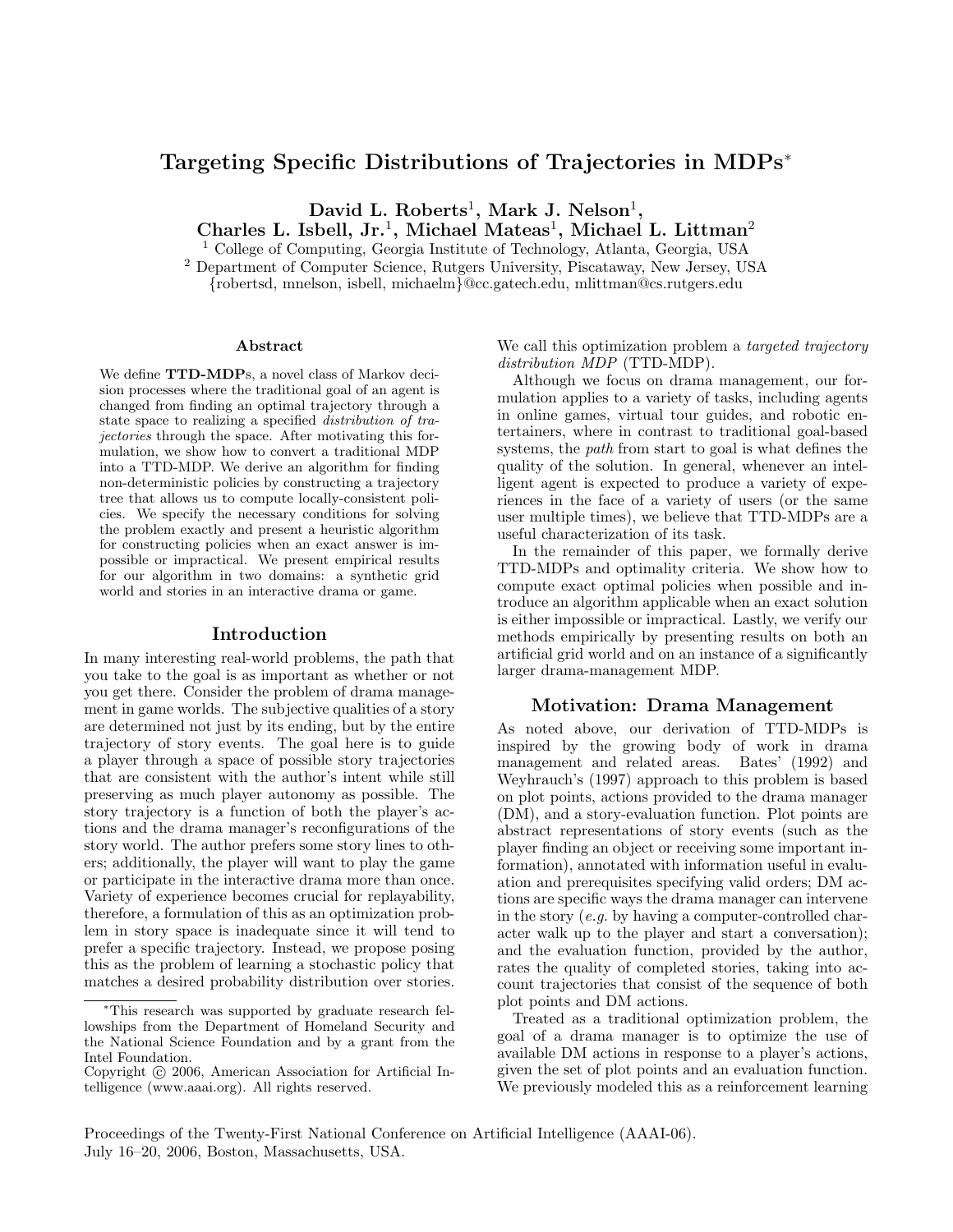# Targeting Specific Distributions of Trajectories in MDPs<sup>∗</sup>

David L. Roberts<sup>1</sup>, Mark J. Nelson<sup>1</sup>,

Charles L. Isbell, Jr.<sup>1</sup>, Michael Mateas<sup>1</sup>, Michael L. Littman<sup>2</sup>

<sup>1</sup> College of Computing, Georgia Institute of Technology, Atlanta, Georgia, USA

<sup>2</sup> Department of Computer Science, Rutgers University, Piscataway, New Jersey, USA {robertsd, mnelson, isbell, michaelm}@cc.gatech.edu, mlittman@cs.rutgers.edu

#### Abstract

We define **TTD-MDP**s, a novel class of Markov decision processes where the traditional goal of an agent is changed from finding an optimal trajectory through a state space to realizing a specified distribution of trajectories through the space. After motivating this formulation, we show how to convert a traditional MDP into a TTD-MDP. We derive an algorithm for finding non-deterministic policies by constructing a trajectory tree that allows us to compute locally-consistent policies. We specify the necessary conditions for solving the problem exactly and present a heuristic algorithm for constructing policies when an exact answer is impossible or impractical. We present empirical results for our algorithm in two domains: a synthetic grid world and stories in an interactive drama or game.

### Introduction

In many interesting real-world problems, the path that you take to the goal is as important as whether or not you get there. Consider the problem of drama management in game worlds. The subjective qualities of a story are determined not just by its ending, but by the entire trajectory of story events. The goal here is to guide a player through a space of possible story trajectories that are consistent with the author's intent while still preserving as much player autonomy as possible. The story trajectory is a function of both the player's actions and the drama manager's reconfigurations of the story world. The author prefers some story lines to others; additionally, the player will want to play the game or participate in the interactive drama more than once. Variety of experience becomes crucial for replayability, therefore, a formulation of this as an optimization problem in story space is inadequate since it will tend to prefer a specific trajectory. Instead, we propose posing this as the problem of learning a stochastic policy that matches a desired probability distribution over stories.

We call this optimization problem a *targeted trajectory* distribution MDP (TTD-MDP).

Although we focus on drama management, our formulation applies to a variety of tasks, including agents in online games, virtual tour guides, and robotic entertainers, where in contrast to traditional goal-based systems, the path from start to goal is what defines the quality of the solution. In general, whenever an intelligent agent is expected to produce a variety of experiences in the face of a variety of users (or the same user multiple times), we believe that TTD-MDPs are a useful characterization of its task.

In the remainder of this paper, we formally derive TTD-MDPs and optimality criteria. We show how to compute exact optimal policies when possible and introduce an algorithm applicable when an exact solution is either impossible or impractical. Lastly, we verify our methods empirically by presenting results on both an artificial grid world and on an instance of a significantly larger drama-management MDP.

### Motivation: Drama Management

As noted above, our derivation of TTD-MDPs is inspired by the growing body of work in drama management and related areas. Bates' (1992) and Weyhrauch's (1997) approach to this problem is based on plot points, actions provided to the drama manager (DM), and a story-evaluation function. Plot points are abstract representations of story events (such as the player finding an object or receiving some important information), annotated with information useful in evaluation and prerequisites specifying valid orders; DM actions are specific ways the drama manager can intervene in the story (e.g. by having a computer-controlled character walk up to the player and start a conversation); and the evaluation function, provided by the author, rates the quality of completed stories, taking into account trajectories that consist of the sequence of both plot points and DM actions.

Treated as a traditional optimization problem, the goal of a drama manager is to optimize the use of available DM actions in response to a player's actions, given the set of plot points and an evaluation function. We previously modeled this as a reinforcement learning

Proceedings of the Twenty-First National Conference on Artificial Intelligence (AAAI-06). July 16–20, 2006, Boston, Massachusetts, USA.

<sup>∗</sup>This research was supported by graduate research fellowships from the Department of Homeland Security and the National Science Foundation and by a grant from the Intel Foundation.

Copyright  $\odot$  2006, American Association for Artificial Intelligence (www.aaai.org). All rights reserved.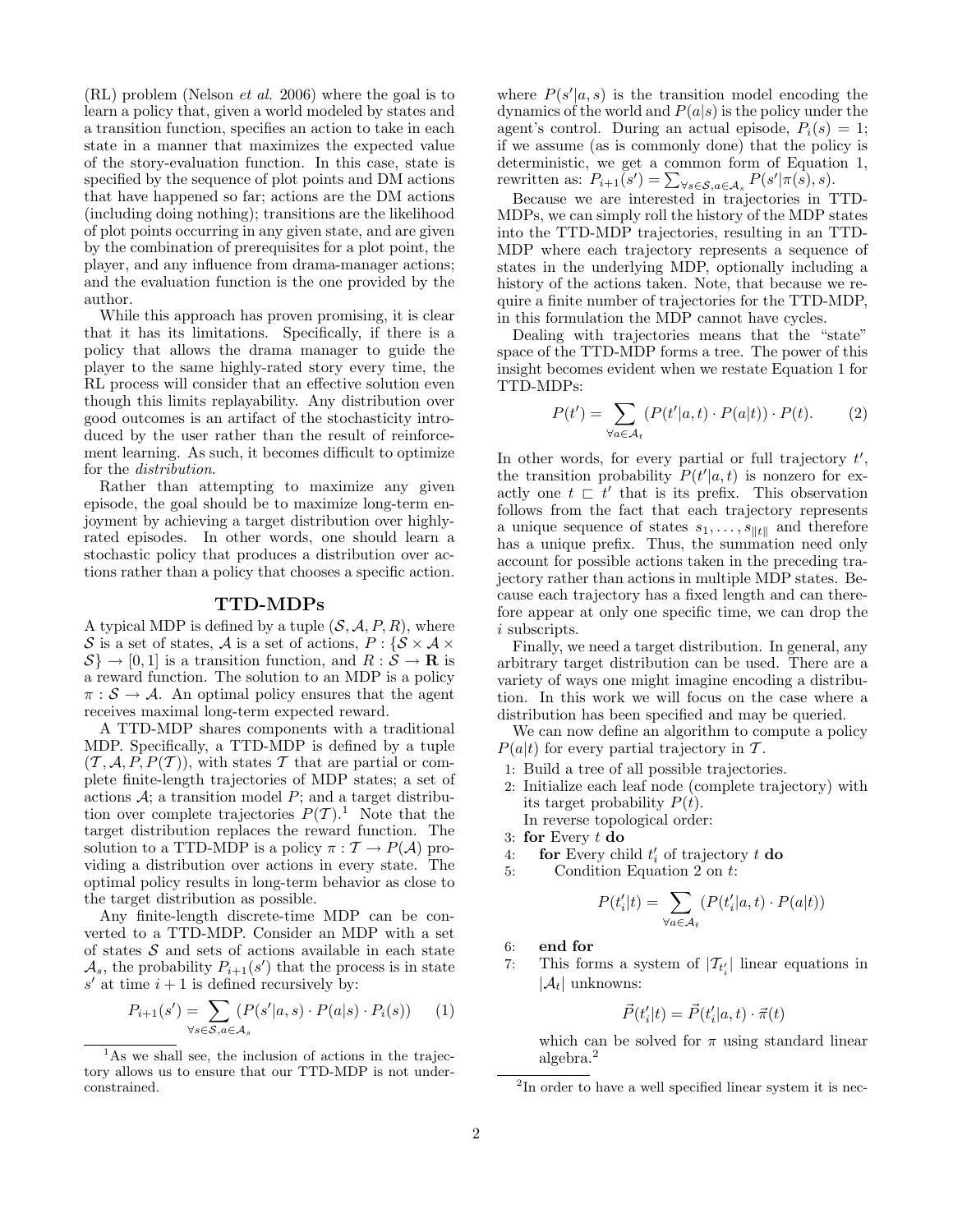$(RL)$  problem (Nelson *et al.* 2006) where the goal is to learn a policy that, given a world modeled by states and a transition function, specifies an action to take in each state in a manner that maximizes the expected value of the story-evaluation function. In this case, state is specified by the sequence of plot points and DM actions that have happened so far; actions are the DM actions (including doing nothing); transitions are the likelihood of plot points occurring in any given state, and are given by the combination of prerequisites for a plot point, the player, and any influence from drama-manager actions; and the evaluation function is the one provided by the author.

While this approach has proven promising, it is clear that it has its limitations. Specifically, if there is a policy that allows the drama manager to guide the player to the same highly-rated story every time, the RL process will consider that an effective solution even though this limits replayability. Any distribution over good outcomes is an artifact of the stochasticity introduced by the user rather than the result of reinforcement learning. As such, it becomes difficult to optimize for the distribution.

Rather than attempting to maximize any given episode, the goal should be to maximize long-term enjoyment by achieving a target distribution over highlyrated episodes. In other words, one should learn a stochastic policy that produces a distribution over actions rather than a policy that chooses a specific action.

### TTD-MDPs

A typical MDP is defined by a tuple  $(S, \mathcal{A}, P, R)$ , where S is a set of states, A is a set of actions,  $P: \{S \times A \times$  $\{\mathcal{S}\}\to[0,1]$  is a transition function, and  $R:\mathcal{S}\to\mathbf{R}$  is a reward function. The solution to an MDP is a policy  $\pi : \mathcal{S} \to \mathcal{A}$ . An optimal policy ensures that the agent receives maximal long-term expected reward.

A TTD-MDP shares components with a traditional MDP. Specifically, a TTD-MDP is defined by a tuple  $(\mathcal{T}, \mathcal{A}, P, P(\mathcal{T}))$ , with states T that are partial or complete finite-length trajectories of MDP states; a set of actions  $A$ ; a transition model  $P$ ; and a target distribution over complete trajectories  $P(T)$ .<sup>1</sup> Note that the target distribution replaces the reward function. The solution to a TTD-MDP is a policy  $\pi : \mathcal{T} \to P(\mathcal{A})$  providing a distribution over actions in every state. The optimal policy results in long-term behavior as close to the target distribution as possible.

Any finite-length discrete-time MDP can be converted to a TTD-MDP. Consider an MDP with a set of states  $S$  and sets of actions available in each state  $\mathcal{A}_s$ , the probability  $P_{i+1}(s')$  that the process is in state  $s'$  at time  $i + 1$  is defined recursively by:

$$
P_{i+1}(s') = \sum_{\forall s \in \mathcal{S}, a \in \mathcal{A}_s} (P(s'|a, s) \cdot P(a|s) \cdot P_i(s)) \tag{1}
$$

where  $P(s'|a, s)$  is the transition model encoding the dynamics of the world and  $P(a|s)$  is the policy under the agent's control. During an actual episode,  $P_i(s) = 1$ ; if we assume (as is commonly done) that the policy is deterministic, we get a common form of Equation 1, rewritten as:  $P_{i+1}(s') = \sum_{\forall s \in \mathcal{S}, a \in \mathcal{A}_s} P(s' | \pi(s), s).$ 

Because we are interested in trajectories in TTD-MDPs, we can simply roll the history of the MDP states into the TTD-MDP trajectories, resulting in an TTD-MDP where each trajectory represents a sequence of states in the underlying MDP, optionally including a history of the actions taken. Note, that because we require a finite number of trajectories for the TTD-MDP, in this formulation the MDP cannot have cycles.

Dealing with trajectories means that the "state" space of the TTD-MDP forms a tree. The power of this insight becomes evident when we restate Equation 1 for TTD-MDPs:

$$
P(t') = \sum_{\forall a \in \mathcal{A}_t} (P(t'|a, t) \cdot P(a|t)) \cdot P(t). \tag{2}
$$

In other words, for every partial or full trajectory  $t'$ , the transition probability  $P(t'|a,t)$  is nonzero for exactly one  $t \rvert t'$  that is its prefix. This observation follows from the fact that each trajectory represents a unique sequence of states  $s_1, \ldots, s_{\Vert t \Vert}$  and therefore has a unique prefix. Thus, the summation need only account for possible actions taken in the preceding trajectory rather than actions in multiple MDP states. Because each trajectory has a fixed length and can therefore appear at only one specific time, we can drop the i subscripts.

Finally, we need a target distribution. In general, any arbitrary target distribution can be used. There are a variety of ways one might imagine encoding a distribution. In this work we will focus on the case where a distribution has been specified and may be queried.

We can now define an algorithm to compute a policy  $P(a|t)$  for every partial trajectory in T.

- 1: Build a tree of all possible trajectories.
- 2: Initialize each leaf node (complete trajectory) with its target probability  $P(t)$ . In reverse topological order:
- 3: for Every  $t$  do
- 4: **for** Every child  $t_i'$  of trajectory  $t$  **do**
- 5: Condition Equation 2 on t:

$$
P(t_i'|t) = \sum_{\forall a \in \mathcal{A}_t} (P(t_i'|a, t) \cdot P(a|t))
$$

6: end for

7: This forms a system of  $|\mathcal{T}_{t_i}|$  linear equations in  $|\mathcal{A}_t|$  unknowns:

$$
\vec{P}(t_i'|t) = \vec{P}(t_i'|a, t) \cdot \vec{\pi}(t)
$$

which can be solved for  $\pi$  using standard linear algebra.<sup>2</sup>

 $1<sup>1</sup>$ As we shall see, the inclusion of actions in the trajectory allows us to ensure that our TTD-MDP is not underconstrained.

<sup>&</sup>lt;sup>2</sup>In order to have a well specified linear system it is nec-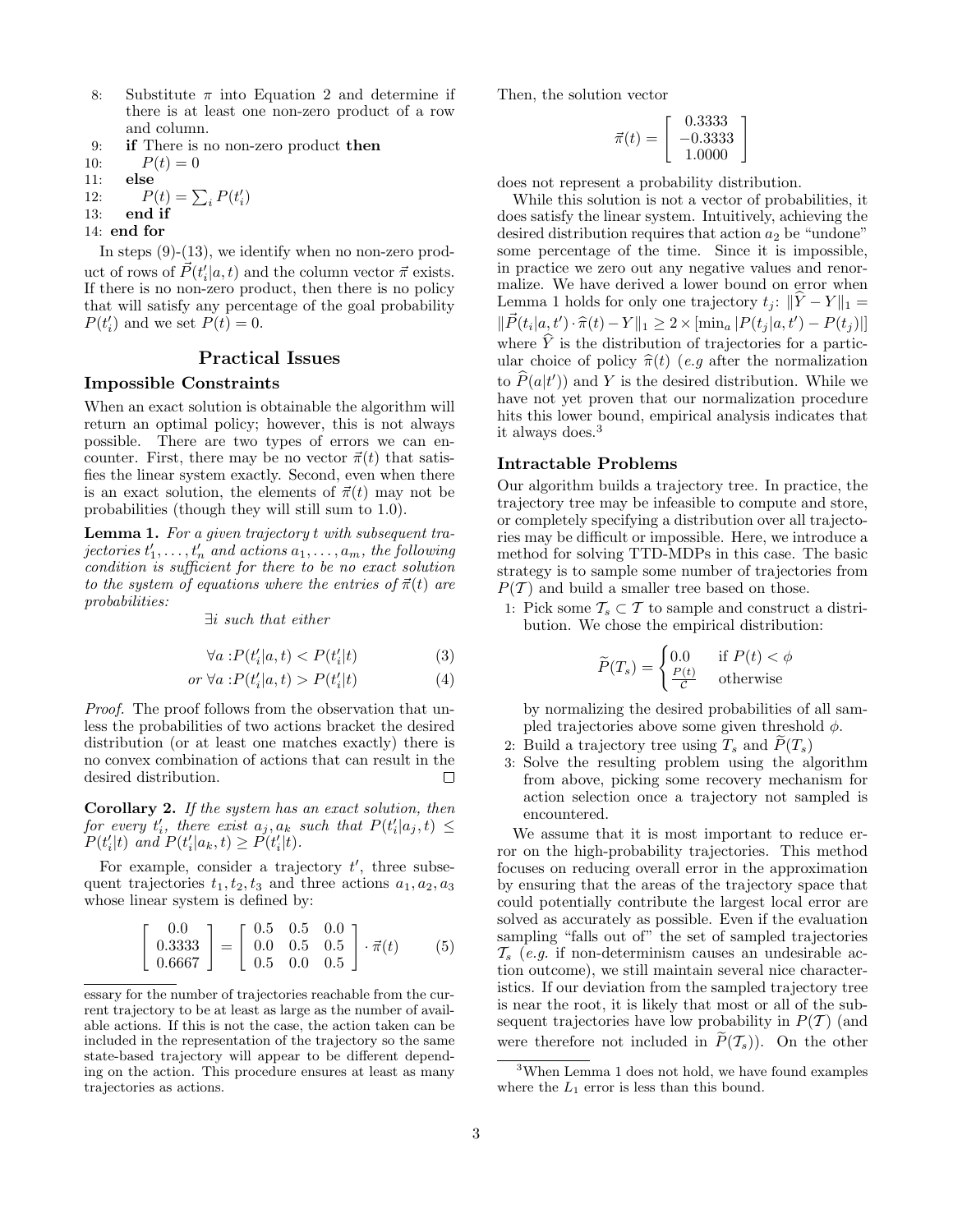- 8: Substitute  $\pi$  into Equation 2 and determine if there is at least one non-zero product of a row and column.
- 9: if There is no non-zero product then
- 10:  $P(t) = 0$
- 11: else
- 12:  $P(t) = \sum_i P(t'_i)$
- 13: end if
- 14: end for

In steps (9)-(13), we identify when no non-zero product of rows of  $\vec{P}(t_i'|a,t)$  and the column vector  $\vec{\pi}$  exists. If there is no non-zero product, then there is no policy that will satisfy any percentage of the goal probability  $P(t'_i)$  and we set  $P(t) = 0$ .

## Practical Issues

### Impossible Constraints

When an exact solution is obtainable the algorithm will return an optimal policy; however, this is not always possible. There are two types of errors we can encounter. First, there may be no vector  $\vec{\pi}(t)$  that satisfies the linear system exactly. Second, even when there is an exact solution, the elements of  $\vec{\pi}(t)$  may not be probabilities (though they will still sum to 1.0).

Lemma 1. For a given trajectory t with subsequent tra- $\emph{jectors}~t'_1,\ldots,t'_n~\emph{and actions}~a_1,\ldots,a_m,~\emph{the following}$ condition is sufficient for there to be no exact solution to the system of equations where the entries of  $\vec{\pi}(t)$  are probabilities:

∃i such that either

$$
\forall a : P(t_i'|a, t) < P(t_i'|t) \tag{3}
$$

$$
or \ \forall a : P(t_i'|a, t) > P(t_i'|t) \tag{4}
$$

Proof. The proof follows from the observation that unless the probabilities of two actions bracket the desired distribution (or at least one matches exactly) there is no convex combination of actions that can result in the desired distribution. П

Corollary 2. If the system has an exact solution, then for every  $t'_i$ , there exist  $a_j, a_k$  such that  $P(t'_i|a_j, t) \leq$  $P(t'_{i}|t)$  and  $P(t'_{i}|a_{k},t) \geq P(t'_{i}|t)$ .

For example, consider a trajectory  $t'$ , three subsequent trajectories  $t_1, t_2, t_3$  and three actions  $a_1, a_2, a_3$ whose linear system is defined by:

 $\sqrt{ }$ 

$$
\begin{bmatrix} 0.0 \\ 0.3333 \\ 0.6667 \end{bmatrix} = \begin{bmatrix} 0.5 & 0.5 & 0.0 \\ 0.0 & 0.5 & 0.5 \\ 0.5 & 0.0 & 0.5 \end{bmatrix} \cdot \vec{\pi}(t) \tag{5}
$$

Then, the solution vector

$$
\vec{\pi}(t) = \left[ \begin{array}{c} 0.3333 \\ -0.3333 \\ 1.0000 \end{array} \right]
$$

does not represent a probability distribution.

While this solution is not a vector of probabilities, it does satisfy the linear system. Intuitively, achieving the desired distribution requires that action  $a_2$  be "undone" some percentage of the time. Since it is impossible, in practice we zero out any negative values and renormalize. We have derived a lower bound on error when Lemma 1 holds for only one trajectory  $t_j$ :  $\|\hat{Y} - Y\|_1 =$  $\|\vec{P}(t_i|a, t') \cdot \hat{\pi}(t) - Y\|_1 \geq 2 \times \left[\min_a |P(t_j|a, t') - P(t_j)|\right]$ where  $\hat{Y}$  is the distribution of trajectories for a particular choice of policy  $\hat{\pi}(t)$  (e.g after the normalization to  $\hat{P}(a|t')$  and Y is the desired distribution. While we have not yet proven that our normalization procedure hits this lower bound, empirical analysis indicates that it always does.<sup>3</sup>

### Intractable Problems

Our algorithm builds a trajectory tree. In practice, the trajectory tree may be infeasible to compute and store, or completely specifying a distribution over all trajectories may be difficult or impossible. Here, we introduce a method for solving TTD-MDPs in this case. The basic strategy is to sample some number of trajectories from  $P(\mathcal{T})$  and build a smaller tree based on those.

1: Pick some  $\mathcal{T}_s \subset \mathcal{T}$  to sample and construct a distribution. We chose the empirical distribution:

$$
\widetilde{P}(T_s) = \begin{cases} 0.0 & \text{if } P(t) < \phi \\ \frac{P(t)}{C} & \text{otherwise} \end{cases}
$$

by normalizing the desired probabilities of all sampled trajectories above some given threshold  $\phi$ .

- 2: Build a trajectory tree using  $T_s$  and  $\widetilde{P}(T_s)$
- 3: Solve the resulting problem using the algorithm from above, picking some recovery mechanism for action selection once a trajectory not sampled is encountered.

We assume that it is most important to reduce error on the high-probability trajectories. This method focuses on reducing overall error in the approximation by ensuring that the areas of the trajectory space that could potentially contribute the largest local error are solved as accurately as possible. Even if the evaluation sampling "falls out of" the set of sampled trajectories  $\mathcal{T}_s$  (e.g. if non-determinism causes an undesirable action outcome), we still maintain several nice characteristics. If our deviation from the sampled trajectory tree is near the root, it is likely that most or all of the subsequent trajectories have low probability in  $P(T)$  (and were therefore not included in  $P(\mathcal{T}_s)$ . On the other

essary for the number of trajectories reachable from the current trajectory to be at least as large as the number of available actions. If this is not the case, the action taken can be included in the representation of the trajectory so the same state-based trajectory will appear to be different depending on the action. This procedure ensures at least as many trajectories as actions.

<sup>&</sup>lt;sup>3</sup>When Lemma 1 does not hold, we have found examples where the  $L_1$  error is less than this bound.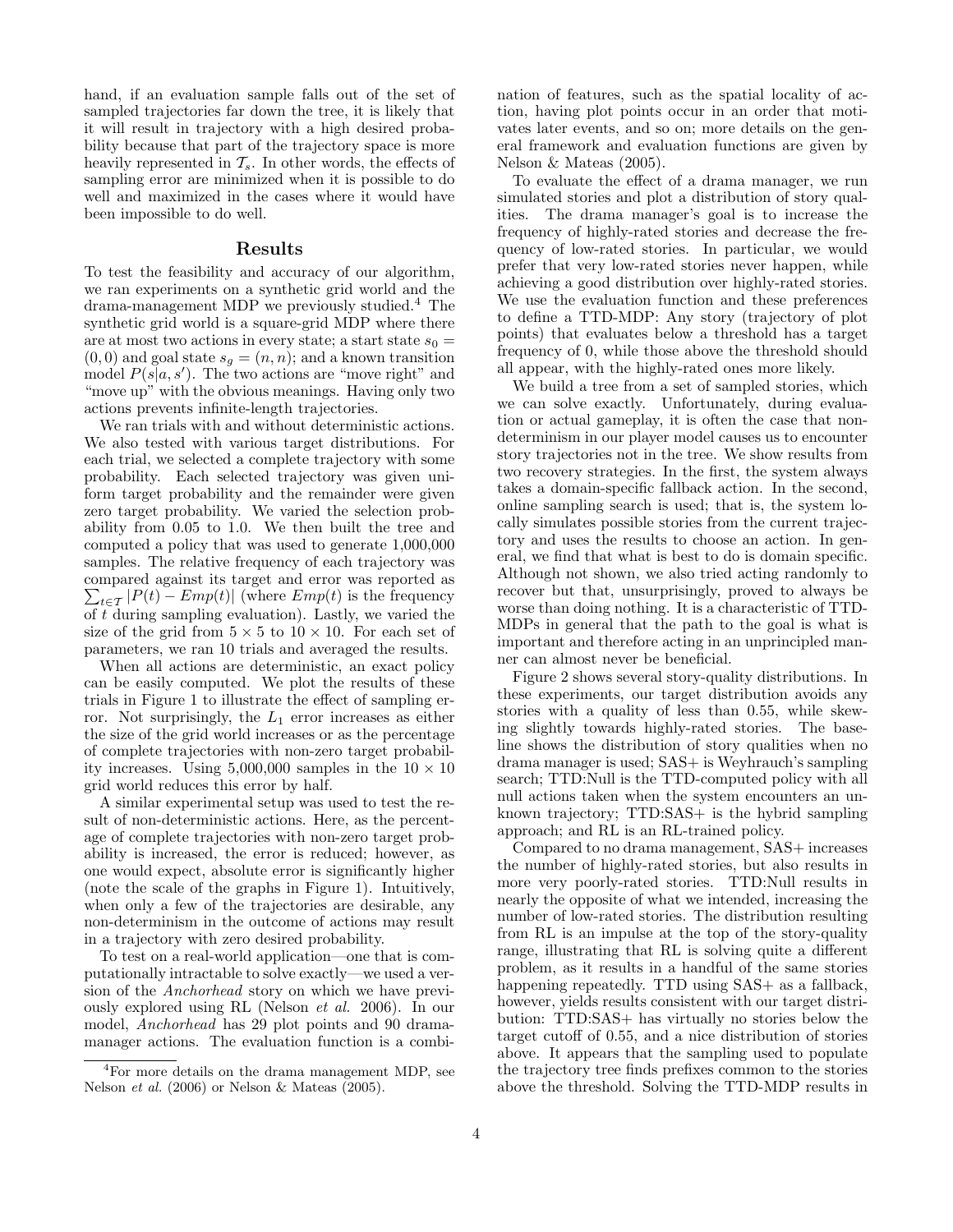hand, if an evaluation sample falls out of the set of sampled trajectories far down the tree, it is likely that it will result in trajectory with a high desired probability because that part of the trajectory space is more heavily represented in  $\mathcal{T}_s$ . In other words, the effects of sampling error are minimized when it is possible to do well and maximized in the cases where it would have been impossible to do well.

### Results

To test the feasibility and accuracy of our algorithm, we ran experiments on a synthetic grid world and the drama-management MDP we previously studied.<sup>4</sup> The synthetic grid world is a square-grid MDP where there are at most two actions in every state; a start state  $s_0 =$  $(0, 0)$  and goal state  $s_g = (n, n)$ ; and a known transition model  $P(s|a, s')$ . The two actions are "move right" and "move up" with the obvious meanings. Having only two actions prevents infinite-length trajectories.

We ran trials with and without deterministic actions. We also tested with various target distributions. For each trial, we selected a complete trajectory with some probability. Each selected trajectory was given uniform target probability and the remainder were given zero target probability. We varied the selection probability from 0.05 to 1.0. We then built the tree and computed a policy that was used to generate 1,000,000 samples. The relative frequency of each trajectory was compared against its target and error was reported as  $\sum_{t \in \mathcal{T}} |P(t) - Emp(t)|$  (where  $Emp(t)$  is the frequency of  $\bar{t}$  during sampling evaluation). Lastly, we varied the size of the grid from  $5 \times 5$  to  $10 \times 10$ . For each set of parameters, we ran 10 trials and averaged the results.

When all actions are deterministic, an exact policy can be easily computed. We plot the results of these trials in Figure 1 to illustrate the effect of sampling error. Not surprisingly, the  $L_1$  error increases as either the size of the grid world increases or as the percentage of complete trajectories with non-zero target probability increases. Using 5,000,000 samples in the  $10 \times 10$ grid world reduces this error by half.

A similar experimental setup was used to test the result of non-deterministic actions. Here, as the percentage of complete trajectories with non-zero target probability is increased, the error is reduced; however, as one would expect, absolute error is significantly higher (note the scale of the graphs in Figure 1). Intuitively, when only a few of the trajectories are desirable, any non-determinism in the outcome of actions may result in a trajectory with zero desired probability.

To test on a real-world application—one that is computationally intractable to solve exactly—we used a version of the Anchorhead story on which we have previously explored using RL (Nelson et al. 2006). In our model, Anchorhead has 29 plot points and 90 dramamanager actions. The evaluation function is a combination of features, such as the spatial locality of action, having plot points occur in an order that motivates later events, and so on; more details on the general framework and evaluation functions are given by Nelson & Mateas (2005).

To evaluate the effect of a drama manager, we run simulated stories and plot a distribution of story qualities. The drama manager's goal is to increase the frequency of highly-rated stories and decrease the frequency of low-rated stories. In particular, we would prefer that very low-rated stories never happen, while achieving a good distribution over highly-rated stories. We use the evaluation function and these preferences to define a TTD-MDP: Any story (trajectory of plot points) that evaluates below a threshold has a target frequency of 0, while those above the threshold should all appear, with the highly-rated ones more likely.

We build a tree from a set of sampled stories, which we can solve exactly. Unfortunately, during evaluation or actual gameplay, it is often the case that nondeterminism in our player model causes us to encounter story trajectories not in the tree. We show results from two recovery strategies. In the first, the system always takes a domain-specific fallback action. In the second, online sampling search is used; that is, the system locally simulates possible stories from the current trajectory and uses the results to choose an action. In general, we find that what is best to do is domain specific. Although not shown, we also tried acting randomly to recover but that, unsurprisingly, proved to always be worse than doing nothing. It is a characteristic of TTD-MDPs in general that the path to the goal is what is important and therefore acting in an unprincipled manner can almost never be beneficial.

Figure 2 shows several story-quality distributions. In these experiments, our target distribution avoids any stories with a quality of less than 0.55, while skewing slightly towards highly-rated stories. The baseline shows the distribution of story qualities when no drama manager is used; SAS+ is Weyhrauch's sampling search; TTD:Null is the TTD-computed policy with all null actions taken when the system encounters an unknown trajectory; TTD:SAS+ is the hybrid sampling approach; and RL is an RL-trained policy.

Compared to no drama management, SAS+ increases the number of highly-rated stories, but also results in more very poorly-rated stories. TTD:Null results in nearly the opposite of what we intended, increasing the number of low-rated stories. The distribution resulting from RL is an impulse at the top of the story-quality range, illustrating that RL is solving quite a different problem, as it results in a handful of the same stories happening repeatedly. TTD using SAS+ as a fallback, however, yields results consistent with our target distribution: TTD:SAS+ has virtually no stories below the target cutoff of 0.55, and a nice distribution of stories above. It appears that the sampling used to populate the trajectory tree finds prefixes common to the stories above the threshold. Solving the TTD-MDP results in

<sup>4</sup>For more details on the drama management MDP, see Nelson et al. (2006) or Nelson & Mateas (2005).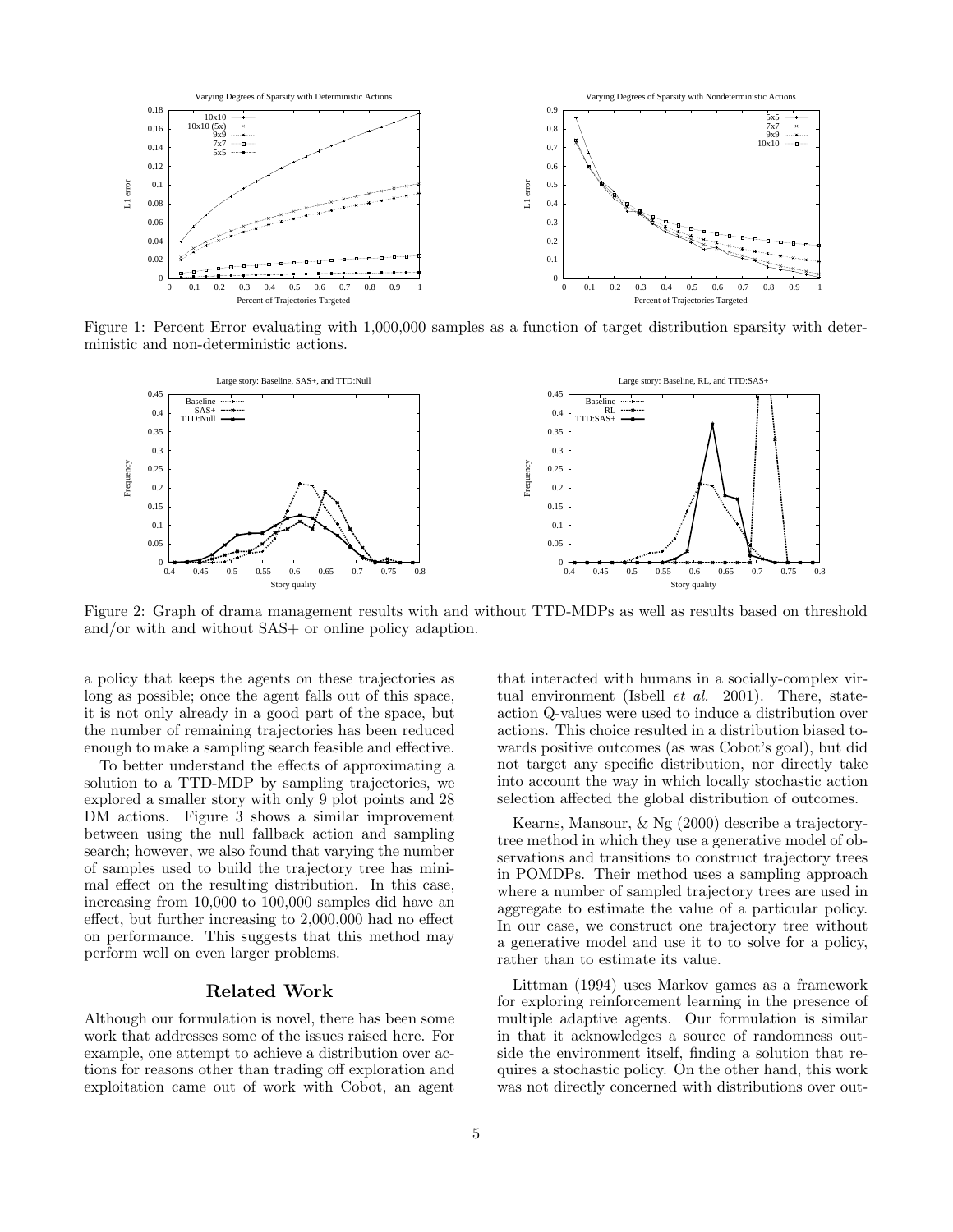

Figure 1: Percent Error evaluating with 1,000,000 samples as a function of target distribution sparsity with deterministic and non-deterministic actions.



Figure 2: Graph of drama management results with and without TTD-MDPs as well as results based on threshold and/or with and without SAS+ or online policy adaption.

a policy that keeps the agents on these trajectories as long as possible; once the agent falls out of this space, it is not only already in a good part of the space, but the number of remaining trajectories has been reduced enough to make a sampling search feasible and effective.

To better understand the effects of approximating a solution to a TTD-MDP by sampling trajectories, we explored a smaller story with only 9 plot points and 28 DM actions. Figure 3 shows a similar improvement between using the null fallback action and sampling search; however, we also found that varying the number of samples used to build the trajectory tree has minimal effect on the resulting distribution. In this case, increasing from 10,000 to 100,000 samples did have an effect, but further increasing to 2,000,000 had no effect on performance. This suggests that this method may perform well on even larger problems.

# Related Work

Although our formulation is novel, there has been some work that addresses some of the issues raised here. For example, one attempt to achieve a distribution over actions for reasons other than trading off exploration and exploitation came out of work with Cobot, an agent

that interacted with humans in a socially-complex virtual environment (Isbell et al. 2001). There, stateaction Q-values were used to induce a distribution over actions. This choice resulted in a distribution biased towards positive outcomes (as was Cobot's goal), but did not target any specific distribution, nor directly take into account the way in which locally stochastic action selection affected the global distribution of outcomes.

Kearns, Mansour, & Ng (2000) describe a trajectorytree method in which they use a generative model of observations and transitions to construct trajectory trees in POMDPs. Their method uses a sampling approach where a number of sampled trajectory trees are used in aggregate to estimate the value of a particular policy. In our case, we construct one trajectory tree without a generative model and use it to to solve for a policy, rather than to estimate its value.

Littman (1994) uses Markov games as a framework for exploring reinforcement learning in the presence of multiple adaptive agents. Our formulation is similar in that it acknowledges a source of randomness outside the environment itself, finding a solution that requires a stochastic policy. On the other hand, this work was not directly concerned with distributions over out-